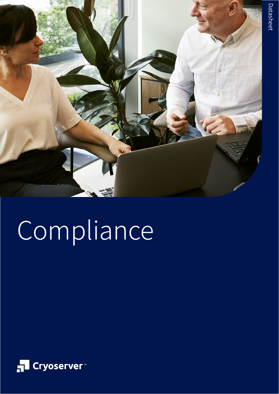

# Compliance

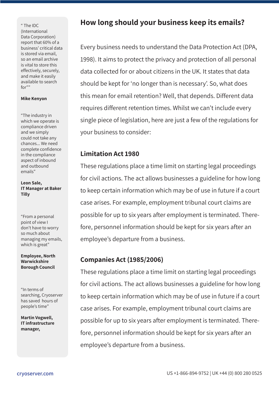" The IDC (International Data Corporation) report that 60% of a business' critical data is stored via email, so an email archive is vital to store this effectively, securely, and make it easily available to search for""

#### **Mike Kenyon**

"The industry in which we operate is compliance driven and we simply could not take any chances... We need complete confidence in the compliance aspect of inbound and outbound emails"

**Leon Sale, IT Manager at Baker Tilly**

"From a personal point of view I don't have to worry so much about managing my emails, which is great"

**Employee, North Warwickshire Borough Council**

"In terms of searching, Cryoserver has saved hours of people's time"

**Martin Vogwell, IT infrastructure manager,** 

## **How long should your business keep its emails?**

Every business needs to understand the Data Protection Act (DPA, 1998). It aims to protect the privacy and protection of all personal data collected for or about citizens in the UK. It states that data should be kept for 'no longer than is necessary'. So, what does this mean for email retention? Well, that depends. Different data requires different retention times. Whilst we can't include every single piece of legislation, here are just a few of the regulations for your business to consider:

#### **Limitation Act 1980**

These regulations place a time limit on starting legal proceedings for civil actions. The act allows businesses a guideline for how long to keep certain information which may be of use in future if a court case arises. For example, employment tribunal court claims are possible for up to six years after employment is terminated. Therefore, personnel information should be kept for six years after an employee's departure from a business.

#### **Companies Act (1985/2006)**

These regulations place a time limit on starting legal proceedings for civil actions. The act allows businesses a guideline for how long to keep certain information which may be of use in future if a court case arises. For example, employment tribunal court claims are possible for up to six years after employment is terminated. Therefore, personnel information should be kept for six years after an employee's departure from a business.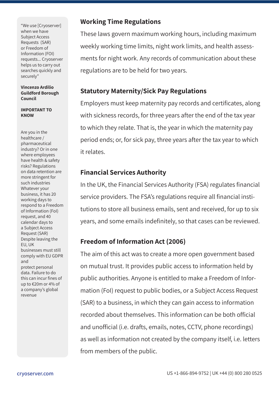"We use [Cryoserver] when we have Subject Access Requests (SAR) or Freedom of Information (FOI) requests... Cryoserver helps us to carry out searches quickly and securely"

**Vincenzo Ardilio Guildford Borough Council**

#### **IMPORTANT TO KNOW**

Are you in the healthcare / pharmaceutical industry? Or in one where employees have health & safety risks? Regulations on data retention are more stringent for such industries Whatever your business, it has 20 working days to respond to a Freedom of Information (FoI) request, and 40 calendar days to a Subject Access Request (SAR) Despite leaving the EU, UK businesses must still comply with EU GDPR and protect personal data. Failure to do this can incur fines of up to €20m or 4% of a company's global revenue

#### **Working Time Regulations**

These laws govern maximum working hours, including maximum weekly working time limits, night work limits, and health assessments for night work. Any records of communication about these regulations are to be held for two years.

#### **Statutory Maternity/Sick Pay Regulations**

Employers must keep maternity pay records and certificates, along with sickness records, for three years after the end of the tax year to which they relate. That is, the year in which the maternity pay period ends; or, for sick pay, three years after the tax year to which it relates.

#### **Financial Services Authority**

In the UK, the Financial Services Authority (FSA) regulates financial service providers. The FSA's regulations require all financial institutions to store all business emails, sent and received, for up to six years, and some emails indefinitely, so that cases can be reviewed.

### **Freedom of Information Act (2006)**

The aim of this act was to create a more open government based on mutual trust. It provides public access to information held by public authorities. Anyone is entitled to make a Freedom of Information (FoI) request to public bodies, or a Subject Access Request (SAR) to a business, in which they can gain access to information recorded about themselves. This information can be both official and unofficial (i.e. drafts, emails, notes, CCTV, phone recordings) as well as information not created by the company itself, i.e. letters from members of the public.